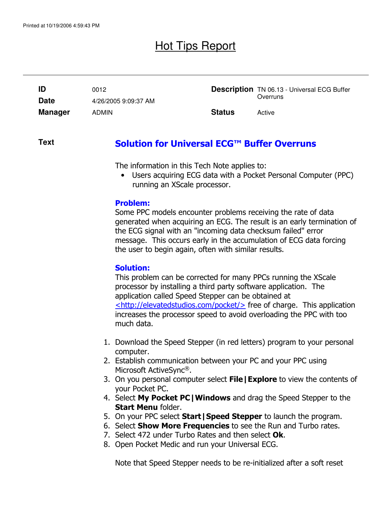## Hot Tips Report

| ID             | 0012                 |               | <b>Description</b> TN 06.13 - Universal ECG Buffer |
|----------------|----------------------|---------------|----------------------------------------------------|
| <b>Date</b>    | 4/26/2005 9:09:37 AM |               | Overruns                                           |
| <b>Manager</b> | <b>ADMIN</b>         | <b>Status</b> | Active                                             |

#### Solution for Universal ECG™ Buffer Overruns **Text**

The information in this Tech Note applies to:

• Users acquiring ECG data with a Pocket Personal Computer (PPC) running an XScale processor.

### Problem:

Some PPC models encounter problems receiving the rate of data generated when acquiring an ECG. The result is an early termination of the ECG signal with an "incoming data checksum failed" error message. This occurs early in the accumulation of ECG data forcing the user to begin again, often with similar results.

### Solution:

This problem can be corrected for many PPCs running the XScale processor by installing a third party software application. The application called Speed Stepper can be obtained at  $\le$ http://elevatedstudios.com/pocket/ $>$  free of charge. This application increases the processor speed to avoid overloading the PPC with too much data.

- 1. Download the Speed Stepper (in red letters) program to your personal computer.
- 2. Establish communication between your PC and your PPC using Microsoft ActiveSync®.
- 3. On you personal computer select File | Explore to view the contents of your Pocket PC.
- 4. Select My Pocket PC | Windows and drag the Speed Stepper to the Start Menu folder.
- 5. On your PPC select **Start | Speed Stepper** to launch the program.
- 6. Select **Show More Frequencies** to see the Run and Turbo rates.
- 7. Select 472 under Turbo Rates and then select Ok.
- 8. Open Pocket Medic and run your Universal ECG.

Note that Speed Stepper needs to be re-initialized after a soft reset